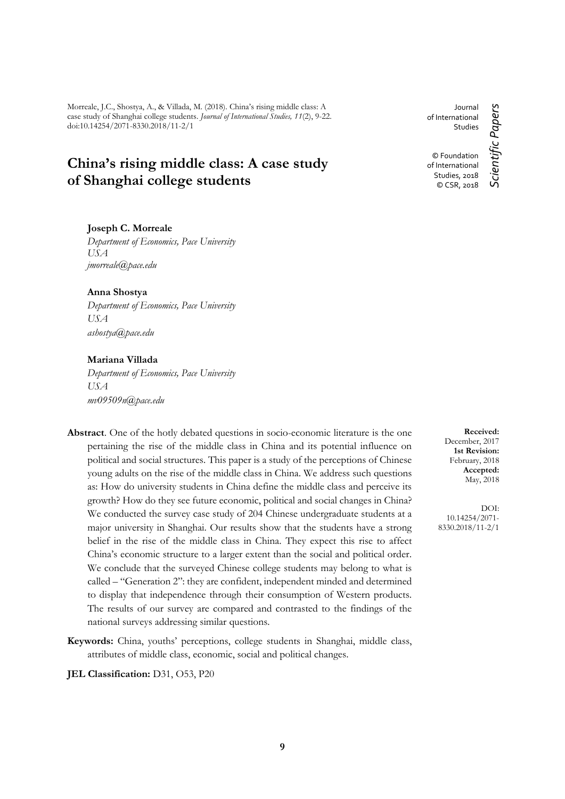Morreale, J.C., Shostya, A., & Villada, M. (2018). China's rising middle class: A case study of Shanghai college students. *Journal of International Studies, 11*(2), 9-22. doi:10.14254/2071-8330.2018/11-2/1

# **China's rising middle class: A case study of Shanghai college students**

## **Joseph C. Morreale**

*Department of Economics, Pace University USA jmorreale@pace.edu*

#### **Anna Shostya**

*Department of Economics, Pace University USA ashostya@pace.edu*

## **Mariana Villada**

*Department of Economics, Pace University USA mv09509n@pace.edu*

- **Abstract**. One of the hotly debated questions in socio-economic literature is the one pertaining the rise of the middle class in China and its potential influence on political and social structures. This paper is a study of the perceptions of Chinese young adults on the rise of the middle class in China. We address such questions as: How do university students in China define the middle class and perceive its growth? How do they see future economic, political and social changes in China? We conducted the survey case study of 204 Chinese undergraduate students at a major university in Shanghai. Our results show that the students have a strong belief in the rise of the middle class in China. They expect this rise to affect China's economic structure to a larger extent than the social and political order. We conclude that the surveyed Chinese college students may belong to what is called – "Generation 2": they are confident, independent minded and determined to display that independence through their consumption of Western products. The results of our survey are compared and contrasted to the findings of the national surveys addressing similar questions.
- **Keywords:** China, youths' perceptions, college students in Shanghai, middle class, attributes of middle class, economic, social and political changes.

**JEL Classification:** D31, O53, P20

Journal of International Studies © Foundation of International Studies, 2018

© CSR, 2018

Scientific Papers *Scientific Papers*

**Received:** December, 2017 **1st Revision:** February, 2018 **Accepted:** May, 2018

DOI: 10.14254/2071- 8330.2018/11-2/1

**9**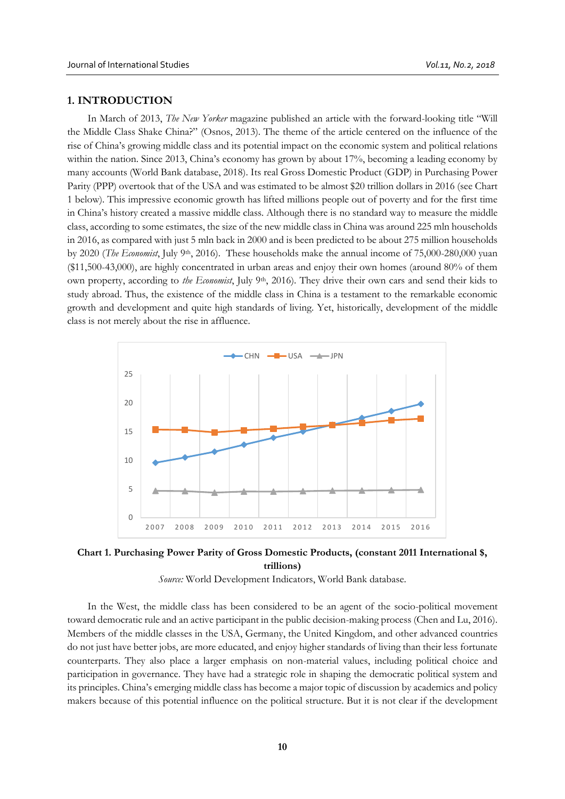## **1. INTRODUCTION**

In March of 2013, *The New Yorker* magazine published an article with the forward-looking title "Will the Middle Class Shake China?" (Osnos, 2013). The theme of the article centered on the influence of the rise of China's growing middle class and its potential impact on the economic system and political relations within the nation. Since 2013, China's economy has grown by about 17%, becoming a leading economy by many accounts (World Bank database, 2018). Its real Gross Domestic Product (GDP) in Purchasing Power Parity (PPP) overtook that of the USA and was estimated to be almost \$20 trillion dollars in 2016 (see Chart 1 below). This impressive economic growth has lifted millions people out of poverty and for the first time in China's history created a massive middle class. Although there is no standard way to measure the middle class, according to some estimates, the size of the new middle class in China was around 225 mln households in 2016, as compared with just 5 mln back in 2000 and is been predicted to be about 275 million households by 2020 (*The Economist*, July 9<sup>th</sup>, 2016). These households make the annual income of 75,000-280,000 yuan (\$11,500-43,000), are highly concentrated in urban areas and enjoy their own homes (around 80% of them own property, according to *the Economist*, July 9<sup>th</sup>, 2016). They drive their own cars and send their kids to study abroad. Thus, the existence of the middle class in China is a testament to the remarkable economic growth and development and quite high standards of living. Yet, historically, development of the middle class is not merely about the rise in affluence.



**Chart 1. Purchasing Power Parity of Gross Domestic Products, (constant 2011 International \$, trillions)**

*Source:* World Development Indicators, World Bank database.

In the West, the middle class has been considered to be an agent of the socio-political movement toward democratic rule and an active participant in the public decision-making process (Chen and Lu, 2016). Members of the middle classes in the USA, Germany, the United Kingdom, and other advanced countries do not just have better jobs, are more educated, and enjoy higher standards of living than their less fortunate counterparts. They also place a larger emphasis on non-material values, including political choice and participation in governance. They have had a strategic role in shaping the democratic political system and its principles. China's emerging middle class has become a major topic of discussion by academics and policy makers because of this potential influence on the political structure. But it is not clear if the development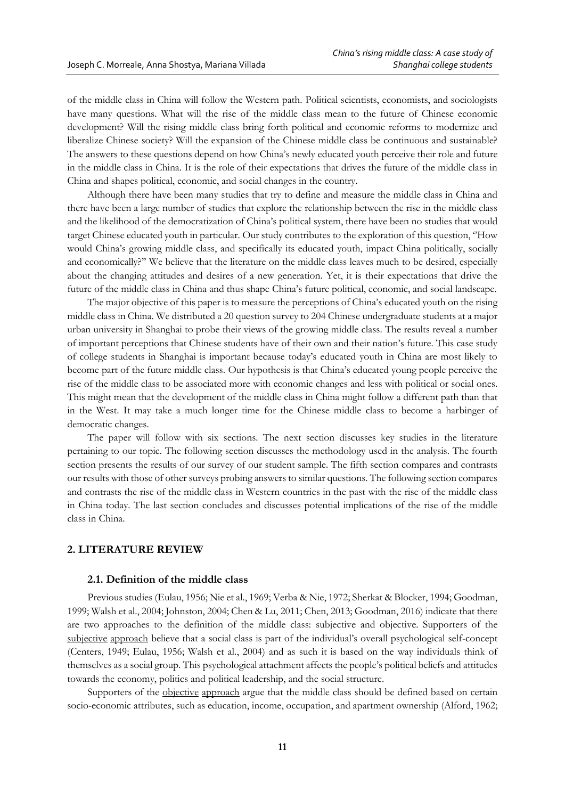of the middle class in China will follow the Western path. Political scientists, economists, and sociologists have many questions. What will the rise of the middle class mean to the future of Chinese economic development? Will the rising middle class bring forth political and economic reforms to modernize and liberalize Chinese society? Will the expansion of the Chinese middle class be continuous and sustainable? The answers to these questions depend on how China's newly educated youth perceive their role and future in the middle class in China. It is the role of their expectations that drives the future of the middle class in China and shapes political, economic, and social changes in the country.

Although there have been many studies that try to define and measure the middle class in China and there have been a large number of studies that explore the relationship between the rise in the middle class and the likelihood of the democratization of China's political system, there have been no studies that would target Chinese educated youth in particular. Our study contributes to the exploration of this question, ''How would China's growing middle class, and specifically its educated youth, impact China politically, socially and economically?'' We believe that the literature on the middle class leaves much to be desired, especially about the changing attitudes and desires of a new generation. Yet, it is their expectations that drive the future of the middle class in China and thus shape China's future political, economic, and social landscape.

The major objective of this paper is to measure the perceptions of China's educated youth on the rising middle class in China. We distributed a 20 question survey to 204 Chinese undergraduate students at a major urban university in Shanghai to probe their views of the growing middle class. The results reveal a number of important perceptions that Chinese students have of their own and their nation's future. This case study of college students in Shanghai is important because today's educated youth in China are most likely to become part of the future middle class. Our hypothesis is that China's educated young people perceive the rise of the middle class to be associated more with economic changes and less with political or social ones. This might mean that the development of the middle class in China might follow a different path than that in the West. It may take a much longer time for the Chinese middle class to become a harbinger of democratic changes.

The paper will follow with six sections. The next section discusses key studies in the literature pertaining to our topic. The following section discusses the methodology used in the analysis. The fourth section presents the results of our survey of our student sample. The fifth section compares and contrasts our results with those of other surveys probing answers to similar questions. The following section compares and contrasts the rise of the middle class in Western countries in the past with the rise of the middle class in China today. The last section concludes and discusses potential implications of the rise of the middle class in China.

# **2. LITERATURE REVIEW**

### **2.1. Definition of the middle class**

Previous studies (Eulau, 1956; Nie et al., 1969; Verba & Nie, 1972; Sherkat & Blocker, 1994; Goodman, 1999; Walsh et al., 2004; Johnston, 2004; Chen & Lu, 2011; Chen, 2013; Goodman, 2016) indicate that there are two approaches to the definition of the middle class: subjective and objective. Supporters of the subjective approach believe that a social class is part of the individual's overall psychological self-concept (Centers, 1949; Eulau, 1956; Walsh et al., 2004) and as such it is based on the way individuals think of themselves as a social group. This psychological attachment affects the people's political beliefs and attitudes towards the economy, politics and political leadership, and the social structure.

Supporters of the objective approach argue that the middle class should be defined based on certain socio-economic attributes, such as education, income, occupation, and apartment ownership (Alford, 1962;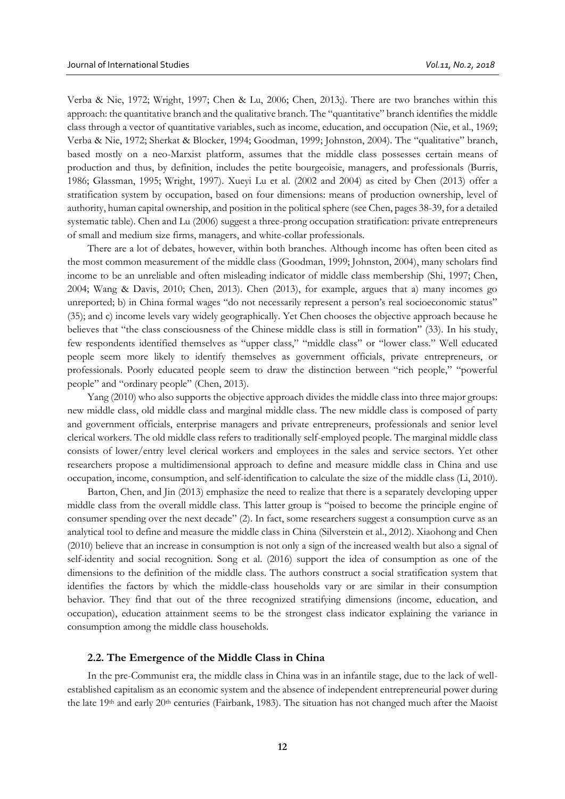Verba & Nie, 1972; Wright, 1997; Chen & Lu, 2006; Chen, 2013;). There are two branches within this approach: the quantitative branch and the qualitative branch. The "quantitative" branch identifies the middle class through a vector of quantitative variables, such as income, education, and occupation (Nie, et al., 1969; Verba & Nie, 1972; Sherkat & Blocker, 1994; Goodman, 1999; Johnston, 2004). The "qualitative" branch, based mostly on a neo-Marxist platform, assumes that the middle class possesses certain means of production and thus, by definition, includes the petite bourgeoisie, managers, and professionals (Burris, 1986; Glassman, 1995; Wright, 1997). Xueyi Lu et al. (2002 and 2004) as cited by Chen (2013) offer a stratification system by occupation, based on four dimensions: means of production ownership, level of authority, human capital ownership, and position in the political sphere (see Chen, pages 38-39, for a detailed systematic table). Chen and Lu (2006) suggest a three-prong occupation stratification: private entrepreneurs of small and medium size firms, managers, and white-collar professionals.

There are a lot of debates, however, within both branches. Although income has often been cited as the most common measurement of the middle class (Goodman, 1999; Johnston, 2004), many scholars find income to be an unreliable and often misleading indicator of middle class membership (Shi, 1997; Chen, 2004; Wang & Davis, 2010; Chen, 2013). Chen (2013), for example, argues that a) many incomes go unreported; b) in China formal wages "do not necessarily represent a person's real socioeconomic status" (35); and c) income levels vary widely geographically. Yet Chen chooses the objective approach because he believes that "the class consciousness of the Chinese middle class is still in formation" (33). In his study, few respondents identified themselves as "upper class," "middle class" or "lower class." Well educated people seem more likely to identify themselves as government officials, private entrepreneurs, or professionals. Poorly educated people seem to draw the distinction between "rich people," "powerful people" and "ordinary people" (Chen, 2013).

Yang (2010) who also supports the objective approach divides the middle class into three major groups: new middle class, old middle class and marginal middle class. The new middle class is composed of party and government officials, enterprise managers and private entrepreneurs, professionals and senior level clerical workers. The old middle class refers to traditionally self-employed people. The marginal middle class consists of lower/entry level clerical workers and employees in the sales and service sectors. Yet other researchers propose a multidimensional approach to define and measure middle class in China and use occupation, income, consumption, and self-identification to calculate the size of the middle class (Li, 2010).

Barton, Chen, and Jin (2013) emphasize the need to realize that there is a separately developing upper middle class from the overall middle class. This latter group is "poised to become the principle engine of consumer spending over the next decade" (2). In fact, some researchers suggest a consumption curve as an analytical tool to define and measure the middle class in China (Silverstein et al., 2012). Xiaohong and Chen (2010) believe that an increase in consumption is not only a sign of the increased wealth but also a signal of self-identity and social recognition. Song et al. (2016) support the idea of consumption as one of the dimensions to the definition of the middle class. The authors construct a social stratification system that identifies the factors by which the middle-class households vary or are similar in their consumption behavior. They find that out of the three recognized stratifying dimensions (income, education, and occupation), education attainment seems to be the strongest class indicator explaining the variance in consumption among the middle class households.

## **2.2. The Emergence of the Middle Class in China**

In the pre-Communist era, the middle class in China was in an infantile stage, due to the lack of wellestablished capitalism as an economic system and the absence of independent entrepreneurial power during the late 19<sup>th</sup> and early 20<sup>th</sup> centuries (Fairbank, 1983). The situation has not changed much after the Maoist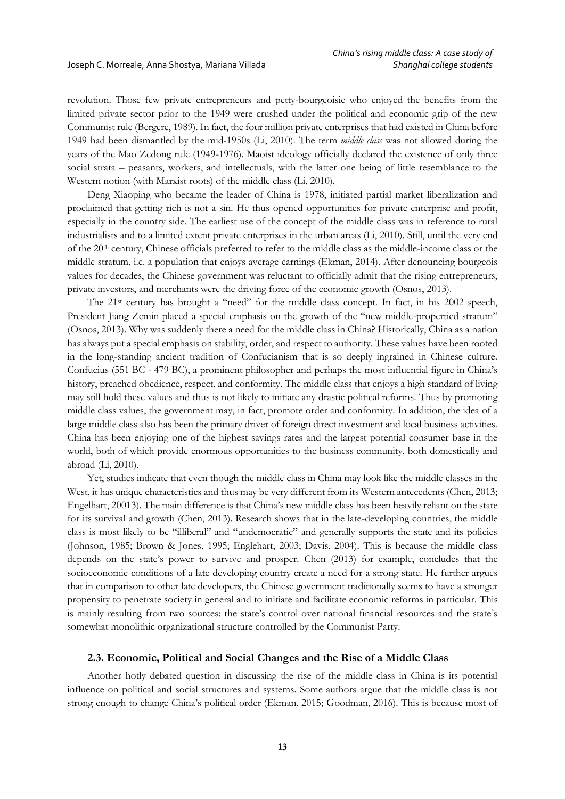revolution. Those few private entrepreneurs and petty-bourgeoisie who enjoyed the benefits from the limited private sector prior to the 1949 were crushed under the political and economic grip of the new Communist rule (Bergere, 1989). In fact, the four million private enterprises that had existed in China before 1949 had been dismantled by the mid-1950s (Li, 2010). The term *middle class* was not allowed during the years of the Mao Zedong rule (1949-1976). Maoist ideology officially declared the existence of only three social strata – peasants, workers, and intellectuals, with the latter one being of little resemblance to the Western notion (with Marxist roots) of the middle class (Li, 2010).

Deng Xiaoping who became the leader of China is 1978, initiated partial market liberalization and proclaimed that getting rich is not a sin. He thus opened opportunities for private enterprise and profit, especially in the country side. The earliest use of the concept of the middle class was in reference to rural industrialists and to a limited extent private enterprises in the urban areas (Li, 2010). Still, until the very end of the 20<sup>th</sup> century, Chinese officials preferred to refer to the middle class as the middle-income class or the middle stratum, i.e. a population that enjoys average earnings (Ekman, 2014). After denouncing bourgeois values for decades, the Chinese government was reluctant to officially admit that the rising entrepreneurs, private investors, and merchants were the driving force of the economic growth (Osnos, 2013).

The 21st century has brought a "need" for the middle class concept. In fact, in his 2002 speech, President Jiang Zemin placed a special emphasis on the growth of the "new middle-propertied stratum" (Osnos, 2013). Why was suddenly there a need for the middle class in China? Historically, China as a nation has always put a special emphasis on stability, order, and respect to authority. These values have been rooted in the long-standing ancient tradition of Confucianism that is so deeply ingrained in Chinese culture. Confucius (551 BC - 479 BC), a prominent philosopher and perhaps the most influential figure in China's history, preached obedience, respect, and conformity. The middle class that enjoys a high standard of living may still hold these values and thus is not likely to initiate any drastic political reforms. Thus by promoting middle class values, the government may, in fact, promote order and conformity. In addition, the idea of a large middle class also has been the primary driver of foreign direct investment and local business activities. China has been enjoying one of the highest savings rates and the largest potential consumer base in the world, both of which provide enormous opportunities to the business community, both domestically and abroad (Li, 2010).

Yet, studies indicate that even though the middle class in China may look like the middle classes in the West, it has unique characteristics and thus may be very different from its Western antecedents (Chen, 2013; Engelhart, 20013). The main difference is that China's new middle class has been heavily reliant on the state for its survival and growth (Chen, 2013). Research shows that in the late-developing countries, the middle class is most likely to be "illiberal" and "undemocratic" and generally supports the state and its policies (Johnson, 1985; Brown & Jones, 1995; Englehart, 2003; Davis, 2004). This is because the middle class depends on the state's power to survive and prosper. Chen (2013) for example, concludes that the socioeconomic conditions of a late developing country create a need for a strong state. He further argues that in comparison to other late developers, the Chinese government traditionally seems to have a stronger propensity to penetrate society in general and to initiate and facilitate economic reforms in particular. This is mainly resulting from two sources: the state's control over national financial resources and the state's somewhat monolithic organizational structure controlled by the Communist Party.

## **2.3. Economic, Political and Social Changes and the Rise of a Middle Class**

Another hotly debated question in discussing the rise of the middle class in China is its potential influence on political and social structures and systems. Some authors argue that the middle class is not strong enough to change China's political order (Ekman, 2015; Goodman, 2016). This is because most of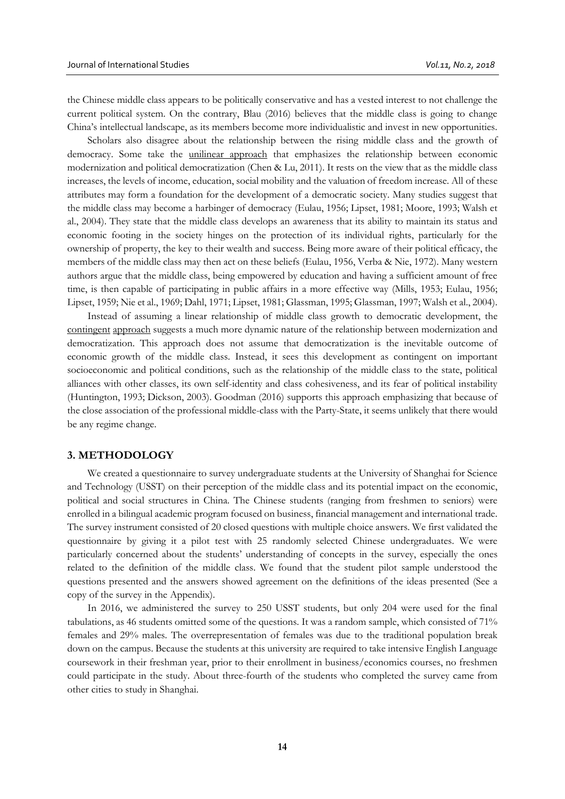the Chinese middle class appears to be politically conservative and has a vested interest to not challenge the current political system. On the contrary, Blau (2016) believes that the middle class is going to change China's intellectual landscape, as its members become more individualistic and invest in new opportunities.

Scholars also disagree about the relationship between the rising middle class and the growth of democracy. Some take the unilinear approach that emphasizes the relationship between economic modernization and political democratization (Chen & Lu, 2011). It rests on the view that as the middle class increases, the levels of income, education, social mobility and the valuation of freedom increase. All of these attributes may form a foundation for the development of a democratic society. Many studies suggest that the middle class may become a harbinger of democracy (Eulau, 1956; Lipset, 1981; Moore, 1993; Walsh et al., 2004). They state that the middle class develops an awareness that its ability to maintain its status and economic footing in the society hinges on the protection of its individual rights, particularly for the ownership of property, the key to their wealth and success. Being more aware of their political efficacy, the members of the middle class may then act on these beliefs (Eulau, 1956, Verba & Nie, 1972). Many western authors argue that the middle class, being empowered by education and having a sufficient amount of free time, is then capable of participating in public affairs in a more effective way (Mills, 1953; Eulau, 1956; Lipset, 1959; Nie et al., 1969; Dahl, 1971; Lipset, 1981; Glassman, 1995; Glassman, 1997; Walsh et al., 2004).

Instead of assuming a linear relationship of middle class growth to democratic development, the contingent approach suggests a much more dynamic nature of the relationship between modernization and democratization. This approach does not assume that democratization is the inevitable outcome of economic growth of the middle class. Instead, it sees this development as contingent on important socioeconomic and political conditions, such as the relationship of the middle class to the state, political alliances with other classes, its own self-identity and class cohesiveness, and its fear of political instability (Huntington, 1993; Dickson, 2003). Goodman (2016) supports this approach emphasizing that because of the close association of the professional middle-class with the Party-State, it seems unlikely that there would be any regime change.

## **3. METHODOLOGY**

We created a questionnaire to survey undergraduate students at the University of Shanghai for Science and Technology (USST) on their perception of the middle class and its potential impact on the economic, political and social structures in China. The Chinese students (ranging from freshmen to seniors) were enrolled in a bilingual academic program focused on business, financial management and international trade. The survey instrument consisted of 20 closed questions with multiple choice answers. We first validated the questionnaire by giving it a pilot test with 25 randomly selected Chinese undergraduates. We were particularly concerned about the students' understanding of concepts in the survey, especially the ones related to the definition of the middle class. We found that the student pilot sample understood the questions presented and the answers showed agreement on the definitions of the ideas presented (See a copy of the survey in the Appendix).

In 2016, we administered the survey to 250 USST students, but only 204 were used for the final tabulations, as 46 students omitted some of the questions. It was a random sample, which consisted of 71% females and 29% males. The overrepresentation of females was due to the traditional population break down on the campus. Because the students at this university are required to take intensive English Language coursework in their freshman year, prior to their enrollment in business/economics courses, no freshmen could participate in the study. About three-fourth of the students who completed the survey came from other cities to study in Shanghai.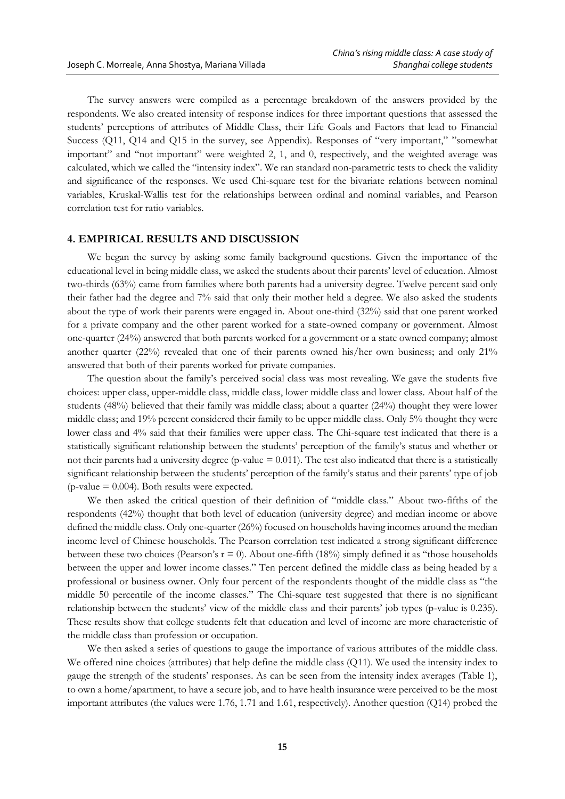The survey answers were compiled as a percentage breakdown of the answers provided by the respondents. We also created intensity of response indices for three important questions that assessed the students' perceptions of attributes of Middle Class, their Life Goals and Factors that lead to Financial Success (Q11, Q14 and Q15 in the survey, see Appendix). Responses of "very important," "somewhat important" and "not important" were weighted 2, 1, and 0, respectively, and the weighted average was calculated, which we called the "intensity index". We ran standard non-parametric tests to check the validity and significance of the responses. We used Chi-square test for the bivariate relations between nominal variables, Kruskal-Wallis test for the relationships between ordinal and nominal variables, and Pearson correlation test for ratio variables.

#### **4. EMPIRICAL RESULTS AND DISCUSSION**

We began the survey by asking some family background questions. Given the importance of the educational level in being middle class, we asked the students about their parents' level of education. Almost two-thirds (63%) came from families where both parents had a university degree. Twelve percent said only their father had the degree and 7% said that only their mother held a degree. We also asked the students about the type of work their parents were engaged in. About one-third (32%) said that one parent worked for a private company and the other parent worked for a state-owned company or government. Almost one-quarter (24%) answered that both parents worked for a government or a state owned company; almost another quarter (22%) revealed that one of their parents owned his/her own business; and only  $21\%$ answered that both of their parents worked for private companies.

The question about the family's perceived social class was most revealing. We gave the students five choices: upper class, upper-middle class, middle class, lower middle class and lower class. About half of the students (48%) believed that their family was middle class; about a quarter (24%) thought they were lower middle class; and 19% percent considered their family to be upper middle class. Only 5% thought they were lower class and 4% said that their families were upper class. The Chi-square test indicated that there is a statistically significant relationship between the students' perception of the family's status and whether or not their parents had a university degree (p-value  $= 0.011$ ). The test also indicated that there is a statistically significant relationship between the students' perception of the family's status and their parents' type of job ( $p$ -value = 0.004). Both results were expected.

We then asked the critical question of their definition of "middle class." About two-fifths of the respondents (42%) thought that both level of education (university degree) and median income or above defined the middle class. Only one-quarter (26%) focused on households having incomes around the median income level of Chinese households. The Pearson correlation test indicated a strong significant difference between these two choices (Pearson's  $r = 0$ ). About one-fifth (18%) simply defined it as "those households between the upper and lower income classes." Ten percent defined the middle class as being headed by a professional or business owner. Only four percent of the respondents thought of the middle class as "the middle 50 percentile of the income classes." The Chi-square test suggested that there is no significant relationship between the students' view of the middle class and their parents' job types (p-value is 0.235). These results show that college students felt that education and level of income are more characteristic of the middle class than profession or occupation.

We then asked a series of questions to gauge the importance of various attributes of the middle class. We offered nine choices (attributes) that help define the middle class (Q11). We used the intensity index to gauge the strength of the students' responses. As can be seen from the intensity index averages (Table 1), to own a home/apartment, to have a secure job, and to have health insurance were perceived to be the most important attributes (the values were 1.76, 1.71 and 1.61, respectively). Another question (Q14) probed the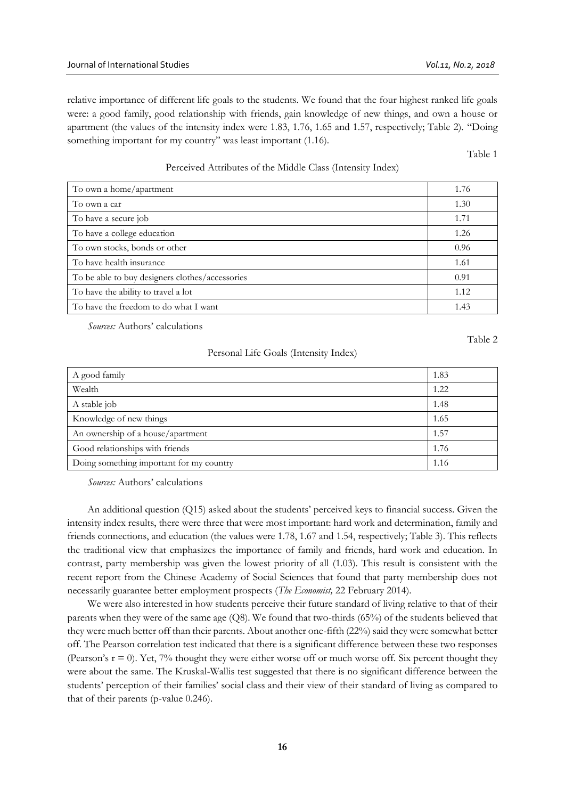relative importance of different life goals to the students. We found that the four highest ranked life goals were: a good family, good relationship with friends, gain knowledge of new things, and own a house or apartment (the values of the intensity index were 1.83, 1.76, 1.65 and 1.57, respectively; Table 2). "Doing something important for my country" was least important (1.16).

Table 1

Perceived Attributes of the Middle Class (Intensity Index)

| To own a home/apartment                         | 1.76 |
|-------------------------------------------------|------|
| To own a car                                    | 1.30 |
| To have a secure job                            | 1.71 |
| To have a college education                     | 1.26 |
| To own stocks, bonds or other                   | 0.96 |
| To have health insurance                        | 1.61 |
| To be able to buy designers clothes/accessories | 0.91 |
| To have the ability to travel a lot             | 1.12 |
| To have the freedom to do what I want           | 1.43 |

*Sources:* Authors' calculations

Table 2

#### Personal Life Goals (Intensity Index)

| A good family                            | 1.83 |
|------------------------------------------|------|
| Wealth                                   | 1.22 |
| A stable job                             | 1.48 |
| Knowledge of new things                  | 1.65 |
| An ownership of a house/apartment        | 1.57 |
| Good relationships with friends          | 1.76 |
| Doing something important for my country | 1.16 |

*Sources:* Authors' calculations

An additional question (Q15) asked about the students' perceived keys to financial success. Given the intensity index results, there were three that were most important: hard work and determination, family and friends connections, and education (the values were 1.78, 1.67 and 1.54, respectively; Table 3). This reflects the traditional view that emphasizes the importance of family and friends, hard work and education. In contrast, party membership was given the lowest priority of all (1.03). This result is consistent with the recent report from the Chinese Academy of Social Sciences that found that party membership does not necessarily guarantee better employment prospects (*The Economist,* 22 February 2014).

We were also interested in how students perceive their future standard of living relative to that of their parents when they were of the same age (Q8). We found that two-thirds (65%) of the students believed that they were much better off than their parents. About another one-fifth (22%) said they were somewhat better off. The Pearson correlation test indicated that there is a significant difference between these two responses (Pearson's  $r = 0$ ). Yet, 7% thought they were either worse off or much worse off. Six percent thought they were about the same. The Kruskal-Wallis test suggested that there is no significant difference between the students' perception of their families' social class and their view of their standard of living as compared to that of their parents (p-value 0.246).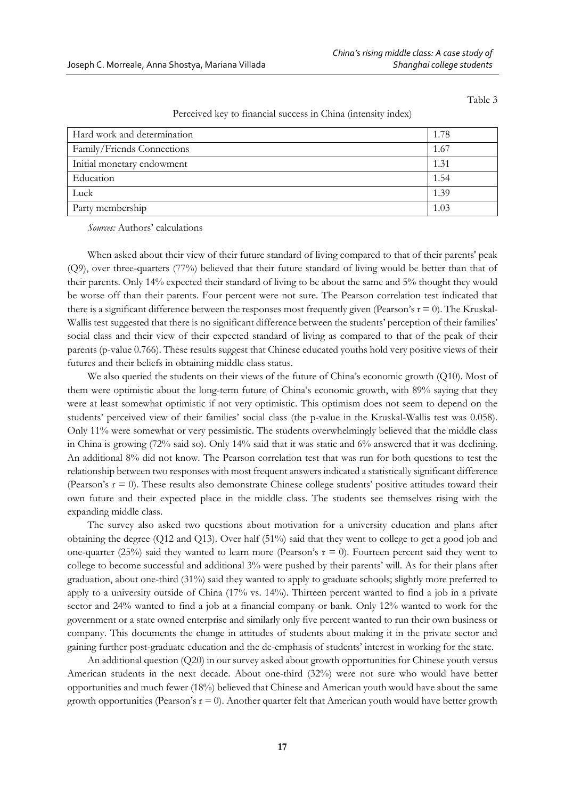Table 3

| Perceived key to financial success in China (intensity index) |  |  |  |  |  |
|---------------------------------------------------------------|--|--|--|--|--|
|---------------------------------------------------------------|--|--|--|--|--|

| Hard work and determination | 1.78 |
|-----------------------------|------|
| Family/Friends Connections  | 1.67 |
| Initial monetary endowment  | 1.31 |
| Education                   | 1.54 |
| Luck                        | 1.39 |
| Party membership            | 1.03 |

*Sources:* Authors' calculations

When asked about their view of their future standard of living compared to that of their parents' peak (Q9), over three-quarters (77%) believed that their future standard of living would be better than that of their parents. Only 14% expected their standard of living to be about the same and 5% thought they would be worse off than their parents. Four percent were not sure. The Pearson correlation test indicated that there is a significant difference between the responses most frequently given (Pearson's  $r = 0$ ). The Kruskal-Wallis test suggested that there is no significant difference between the students' perception of their families' social class and their view of their expected standard of living as compared to that of the peak of their parents (p-value 0.766). These results suggest that Chinese educated youths hold very positive views of their futures and their beliefs in obtaining middle class status.

We also queried the students on their views of the future of China's economic growth (Q10). Most of them were optimistic about the long-term future of China's economic growth, with 89% saying that they were at least somewhat optimistic if not very optimistic. This optimism does not seem to depend on the students' perceived view of their families' social class (the p-value in the Kruskal-Wallis test was 0.058). Only 11% were somewhat or very pessimistic. The students overwhelmingly believed that the middle class in China is growing (72% said so). Only 14% said that it was static and 6% answered that it was declining. An additional 8% did not know. The Pearson correlation test that was run for both questions to test the relationship between two responses with most frequent answers indicated a statistically significant difference (Pearson's  $r = 0$ ). These results also demonstrate Chinese college students' positive attitudes toward their own future and their expected place in the middle class. The students see themselves rising with the expanding middle class.

The survey also asked two questions about motivation for a university education and plans after obtaining the degree (Q12 and Q13). Over half (51%) said that they went to college to get a good job and one-quarter (25%) said they wanted to learn more (Pearson's  $r = 0$ ). Fourteen percent said they went to college to become successful and additional 3% were pushed by their parents' will. As for their plans after graduation, about one-third (31%) said they wanted to apply to graduate schools; slightly more preferred to apply to a university outside of China (17% vs. 14%). Thirteen percent wanted to find a job in a private sector and 24% wanted to find a job at a financial company or bank. Only 12% wanted to work for the government or a state owned enterprise and similarly only five percent wanted to run their own business or company. This documents the change in attitudes of students about making it in the private sector and gaining further post-graduate education and the de-emphasis of students' interest in working for the state.

An additional question (Q20) in our survey asked about growth opportunities for Chinese youth versus American students in the next decade. About one-third (32%) were not sure who would have better opportunities and much fewer (18%) believed that Chinese and American youth would have about the same growth opportunities (Pearson's  $r = 0$ ). Another quarter felt that American youth would have better growth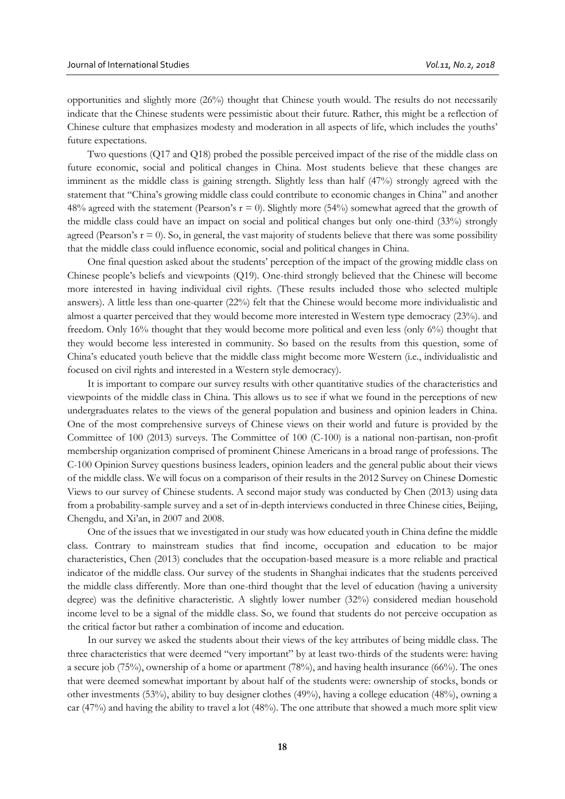opportunities and slightly more (26%) thought that Chinese youth would. The results do not necessarily indicate that the Chinese students were pessimistic about their future. Rather, this might be a reflection of Chinese culture that emphasizes modesty and moderation in all aspects of life, which includes the youths' future expectations.

Two questions (Q17 and Q18) probed the possible perceived impact of the rise of the middle class on future economic, social and political changes in China. Most students believe that these changes are imminent as the middle class is gaining strength. Slightly less than half (47%) strongly agreed with the statement that "China's growing middle class could contribute to economic changes in China" and another 48% agreed with the statement (Pearson's  $r = 0$ ). Slightly more (54%) somewhat agreed that the growth of the middle class could have an impact on social and political changes but only one-third (33%) strongly agreed (Pearson's  $r = 0$ ). So, in general, the vast majority of students believe that there was some possibility that the middle class could influence economic, social and political changes in China.

One final question asked about the students' perception of the impact of the growing middle class on Chinese people's beliefs and viewpoints (Q19). One-third strongly believed that the Chinese will become more interested in having individual civil rights. (These results included those who selected multiple answers). A little less than one-quarter (22%) felt that the Chinese would become more individualistic and almost a quarter perceived that they would become more interested in Western type democracy (23%). and freedom. Only 16% thought that they would become more political and even less (only 6%) thought that they would become less interested in community. So based on the results from this question, some of China's educated youth believe that the middle class might become more Western (i.e., individualistic and focused on civil rights and interested in a Western style democracy).

It is important to compare our survey results with other quantitative studies of the characteristics and viewpoints of the middle class in China. This allows us to see if what we found in the perceptions of new undergraduates relates to the views of the general population and business and opinion leaders in China. One of the most comprehensive surveys of Chinese views on their world and future is provided by the Committee of 100 (2013) surveys. The Committee of 100 (C-100) is a national non-partisan, non-profit membership organization comprised of prominent Chinese Americans in a broad range of professions. The C-100 Opinion Survey questions business leaders, opinion leaders and the general public about their views of the middle class. We will focus on a comparison of their results in the 2012 Survey on Chinese Domestic Views to our survey of Chinese students. A second major study was conducted by Chen (2013) using data from a probability-sample survey and a set of in-depth interviews conducted in three Chinese cities, Beijing, Chengdu, and Xi'an, in 2007 and 2008.

One of the issues that we investigated in our study was how educated youth in China define the middle class. Contrary to mainstream studies that find income, occupation and education to be major characteristics, Chen (2013) concludes that the occupation-based measure is a more reliable and practical indicator of the middle class. Our survey of the students in Shanghai indicates that the students perceived the middle class differently. More than one-third thought that the level of education (having a university degree) was the definitive characteristic. A slightly lower number (32%) considered median household income level to be a signal of the middle class. So, we found that students do not perceive occupation as the critical factor but rather a combination of income and education.

In our survey we asked the students about their views of the key attributes of being middle class. The three characteristics that were deemed "very important" by at least two-thirds of the students were: having a secure job (75%), ownership of a home or apartment (78%), and having health insurance (66%). The ones that were deemed somewhat important by about half of the students were: ownership of stocks, bonds or other investments (53%), ability to buy designer clothes (49%), having a college education (48%), owning a car (47%) and having the ability to travel a lot (48%). The one attribute that showed a much more split view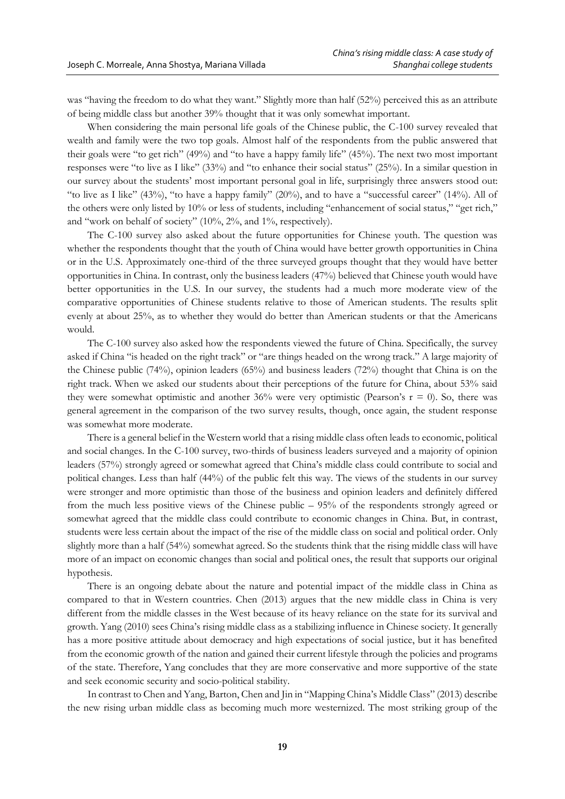was "having the freedom to do what they want." Slightly more than half (52%) perceived this as an attribute of being middle class but another 39% thought that it was only somewhat important.

When considering the main personal life goals of the Chinese public, the C-100 survey revealed that wealth and family were the two top goals. Almost half of the respondents from the public answered that their goals were "to get rich" (49%) and "to have a happy family life" (45%). The next two most important responses were "to live as I like" (33%) and "to enhance their social status" (25%). In a similar question in our survey about the students' most important personal goal in life, surprisingly three answers stood out: "to live as I like" (43%), "to have a happy family" (20%), and to have a "successful career" (14%). All of the others were only listed by 10% or less of students, including "enhancement of social status," "get rich," and "work on behalf of society" (10%, 2%, and 1%, respectively).

The C-100 survey also asked about the future opportunities for Chinese youth. The question was whether the respondents thought that the youth of China would have better growth opportunities in China or in the U.S. Approximately one-third of the three surveyed groups thought that they would have better opportunities in China. In contrast, only the business leaders (47%) believed that Chinese youth would have better opportunities in the U.S. In our survey, the students had a much more moderate view of the comparative opportunities of Chinese students relative to those of American students. The results split evenly at about 25%, as to whether they would do better than American students or that the Americans would.

The C-100 survey also asked how the respondents viewed the future of China. Specifically, the survey asked if China "is headed on the right track" or "are things headed on the wrong track." A large majority of the Chinese public (74%), opinion leaders (65%) and business leaders (72%) thought that China is on the right track. When we asked our students about their perceptions of the future for China, about 53% said they were somewhat optimistic and another 36% were very optimistic (Pearson's  $r = 0$ ). So, there was general agreement in the comparison of the two survey results, though, once again, the student response was somewhat more moderate.

There is a general belief in the Western world that a rising middle class often leads to economic, political and social changes. In the C-100 survey, two-thirds of business leaders surveyed and a majority of opinion leaders (57%) strongly agreed or somewhat agreed that China's middle class could contribute to social and political changes. Less than half (44%) of the public felt this way. The views of the students in our survey were stronger and more optimistic than those of the business and opinion leaders and definitely differed from the much less positive views of the Chinese public – 95% of the respondents strongly agreed or somewhat agreed that the middle class could contribute to economic changes in China. But, in contrast, students were less certain about the impact of the rise of the middle class on social and political order. Only slightly more than a half (54%) somewhat agreed. So the students think that the rising middle class will have more of an impact on economic changes than social and political ones, the result that supports our original hypothesis.

There is an ongoing debate about the nature and potential impact of the middle class in China as compared to that in Western countries. Chen (2013) argues that the new middle class in China is very different from the middle classes in the West because of its heavy reliance on the state for its survival and growth. Yang (2010) sees China's rising middle class as a stabilizing influence in Chinese society. It generally has a more positive attitude about democracy and high expectations of social justice, but it has benefited from the economic growth of the nation and gained their current lifestyle through the policies and programs of the state. Therefore, Yang concludes that they are more conservative and more supportive of the state and seek economic security and socio-political stability.

In contrast to Chen and Yang, Barton, Chen and Jin in "Mapping China's Middle Class" (2013) describe the new rising urban middle class as becoming much more westernized. The most striking group of the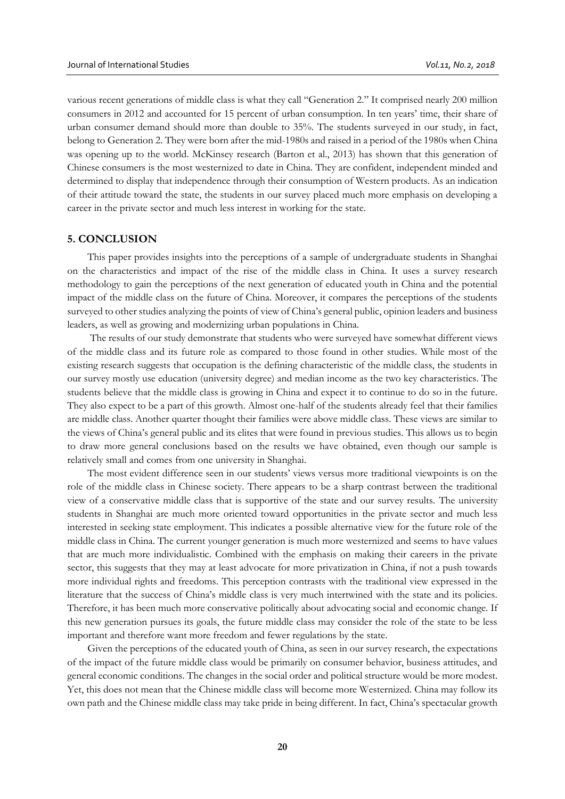various recent generations of middle class is what they call "Generation 2." It comprised nearly 200 million consumers in 2012 and accounted for 15 percent of urban consumption. In ten years' time, their share of urban consumer demand should more than double to 35%. The students surveyed in our study, in fact, belong to Generation 2. They were born after the mid-1980s and raised in a period of the 1980s when China was opening up to the world. McKinsey research (Barton et al., 2013) has shown that this generation of Chinese consumers is the most westernized to date in China. They are confident, independent minded and determined to display that independence through their consumption of Western products. As an indication of their attitude toward the state, the students in our survey placed much more emphasis on developing a career in the private sector and much less interest in working for the state.

#### **5. CONCLUSION**

This paper provides insights into the perceptions of a sample of undergraduate students in Shanghai on the characteristics and impact of the rise of the middle class in China. It uses a survey research methodology to gain the perceptions of the next generation of educated youth in China and the potential impact of the middle class on the future of China. Moreover, it compares the perceptions of the students surveyed to other studies analyzing the points of view of China's general public, opinion leaders and business leaders, as well as growing and modernizing urban populations in China.

The results of our study demonstrate that students who were surveyed have somewhat different views of the middle class and its future role as compared to those found in other studies. While most of the existing research suggests that occupation is the defining characteristic of the middle class, the students in our survey mostly use education (university degree) and median income as the two key characteristics. The students believe that the middle class is growing in China and expect it to continue to do so in the future. They also expect to be a part of this growth. Almost one-half of the students already feel that their families are middle class. Another quarter thought their families were above middle class. These views are similar to the views of China's general public and its elites that were found in previous studies. This allows us to begin to draw more general conclusions based on the results we have obtained, even though our sample is relatively small and comes from one university in Shanghai.

The most evident difference seen in our students' views versus more traditional viewpoints is on the role of the middle class in Chinese society. There appears to be a sharp contrast between the traditional view of a conservative middle class that is supportive of the state and our survey results. The university students in Shanghai are much more oriented toward opportunities in the private sector and much less interested in seeking state employment. This indicates a possible alternative view for the future role of the middle class in China. The current younger generation is much more westernized and seems to have values that are much more individualistic. Combined with the emphasis on making their careers in the private sector, this suggests that they may at least advocate for more privatization in China, if not a push towards more individual rights and freedoms. This perception contrasts with the traditional view expressed in the literature that the success of China's middle class is very much intertwined with the state and its policies. Therefore, it has been much more conservative politically about advocating social and economic change. If this new generation pursues its goals, the future middle class may consider the role of the state to be less important and therefore want more freedom and fewer regulations by the state.

Given the perceptions of the educated youth of China, as seen in our survey research, the expectations of the impact of the future middle class would be primarily on consumer behavior, business attitudes, and general economic conditions. The changes in the social order and political structure would be more modest. Yet, this does not mean that the Chinese middle class will become more Westernized. China may follow its own path and the Chinese middle class may take pride in being different. In fact, China's spectacular growth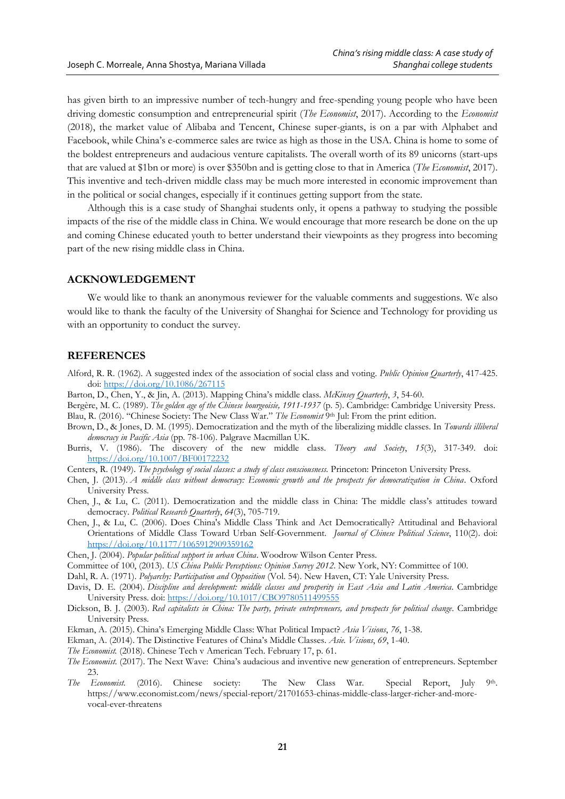has given birth to an impressive number of tech-hungry and free-spending young people who have been driving domestic consumption and entrepreneurial spirit (*The Economist*, 2017). According to the *Economist* (2018), the market value of Alibaba and Tencent, Chinese super-giants, is on a par with Alphabet and Facebook, while China's e-commerce sales are twice as high as those in the USA. China is home to some of the boldest entrepreneurs and audacious venture capitalists. The overall worth of its 89 unicorns (start-ups that are valued at \$1bn or more) is over \$350bn and is getting close to that in America (*The Economist*, 2017). This inventive and tech-driven middle class may be much more interested in economic improvement than in the political or social changes, especially if it continues getting support from the state.

Although this is a case study of Shanghai students only, it opens a pathway to studying the possible impacts of the rise of the middle class in China. We would encourage that more research be done on the up and coming Chinese educated youth to better understand their viewpoints as they progress into becoming part of the new rising middle class in China.

#### **ACKNOWLEDGEMENT**

We would like to thank an anonymous reviewer for the valuable comments and suggestions. We also would like to thank the faculty of the University of Shanghai for Science and Technology for providing us with an opportunity to conduct the survey.

### **REFERENCES**

- Alford, R. R. (1962). A suggested index of the association of social class and voting. *Public Opinion Quarterly*, 417-425. doi:<https://doi.org/10.1086/267115>
- Barton, D., Chen, Y., & Jin, A. (2013). Mapping China's middle class. *McKinsey Quarterly*, *3*, 54-60.
- Bergère, M. C. (1989). *The golden age of the Chinese bourgeoisie, 1911-1937* (p. 5). Cambridge: Cambridge University Press. Blau, R. (2016). "Chinese Society: The New Class War." The Economist 9th Jul: From the print edition.
- Brown, D., & Jones, D. M. (1995). Democratization and the myth of the liberalizing middle classes. In *Towards illiberal democracy in Pacific Asia* (pp. 78-106). Palgrave Macmillan UK.
- Burris, V. (1986). The discovery of the new middle class. *Theory and Society*, *15*(3), 317-349. doi: <https://doi.org/10.1007/BF00172232>
- Centers, R. (1949). *The psychology of social classes: a study of class consciousness.* Princeton: Princeton University Press.
- Chen, J. (2013). *A middle class without democracy: Economic growth and the prospects for democratization in China*. Oxford University Press.
- Chen, J., & Lu, C. (2011). Democratization and the middle class in China: The middle class's attitudes toward democracy. *Political Research Quarterly*, *64*(3), 705-719.
- Chen, J., & Lu, C. (2006). Does China's Middle Class Think and Act Democratically? Attitudinal and Behavioral Orientations of Middle Class Toward Urban Self-Government. *Journal of Chinese Political Science*, 110(2). doi: <https://doi.org/10.1177/1065912909359162>
- Chen, J. (2004). *Popular political support in urban China*. Woodrow Wilson Center Press.
- Committee of 100, (2013). *US China Public Perceptions: Opinion Survey 2012*. New York, NY: Committee of 100.
- Dahl, R. A. (1971). *Polyarchy: Participation and Opposition* (Vol. 54). New Haven, CT: Yale University Press.
- Davis, D. E. (2004). *Discipline and development: middle classes and prosperity in East Asia and Latin America*. Cambridge University Press. doi:<https://doi.org/10.1017/CBO9780511499555>
- Dickson, B. J. (2003). *Red capitalists in China: The party, private entrepreneurs, and prospects for political change*. Cambridge University Press.
- Ekman, A. (2015). China's Emerging Middle Class: What Political Impact? *Asia Visions*, *76*, 1-38.
- Ekman, A. (2014). The Distinctive Features of China's Middle Classes. *Asie. Visions*, *69*, 1-40.
- *The Economist.* (2018). Chinese Tech v American Tech. February 17, p. 61.
- *The Economist.* (2017). The Next Wave: China's audacious and inventive new generation of entrepreneurs. September 23.
- *The Economist.* (2016). Chinese society: The New Class War. Special Report, July . Qth https://www.economist.com/news/special-report/21701653-chinas-middle-class-larger-richer-and-morevocal-ever-threatens